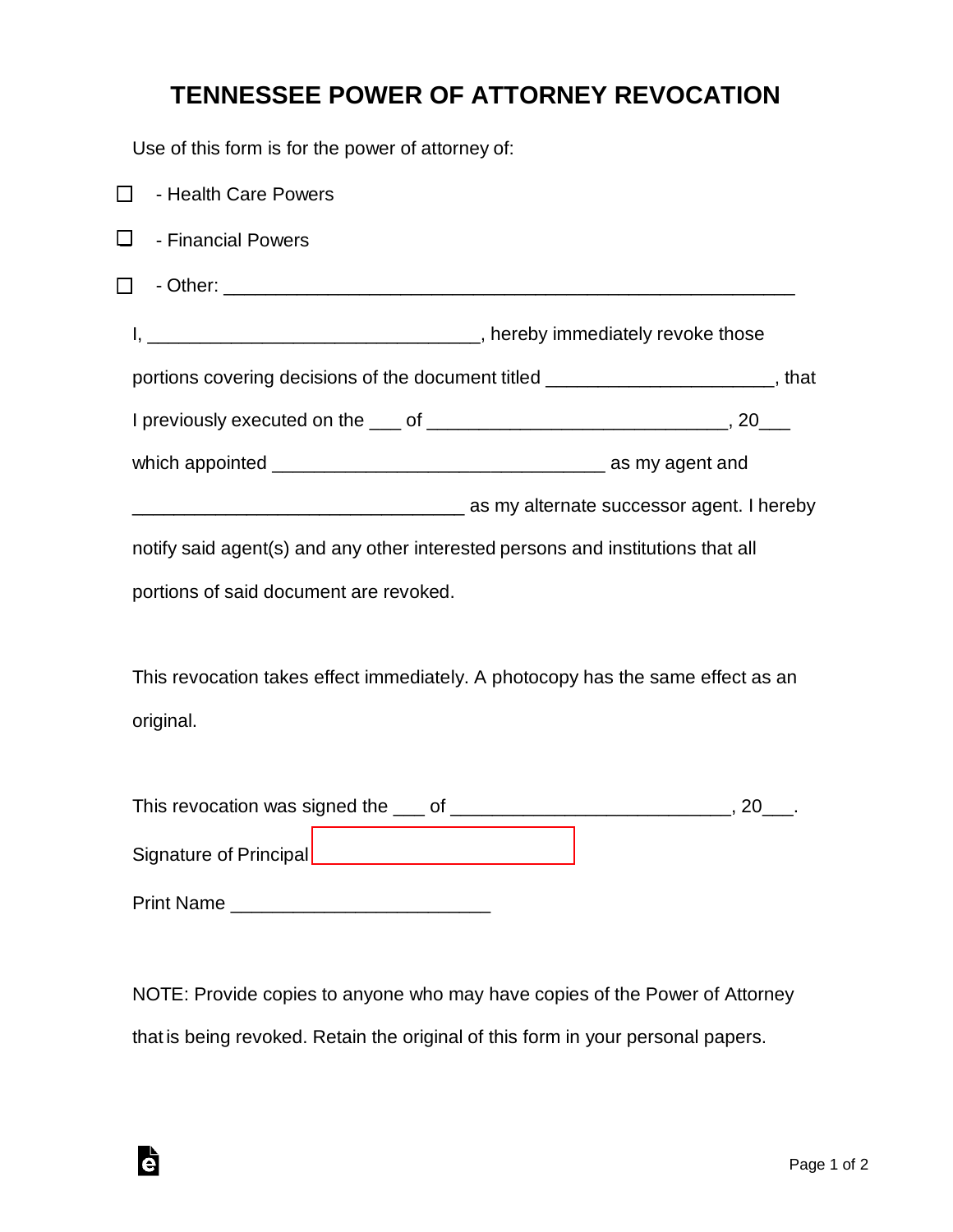## **TENNESSEE POWER OF ATTORNEY REVOCATION**

Use of this form is for the power of attorney of:

| - Health Care Powers<br>$\blacksquare$                                          |                                                                                      |
|---------------------------------------------------------------------------------|--------------------------------------------------------------------------------------|
| $\sqcup$<br>- Financial Powers                                                  |                                                                                      |
|                                                                                 |                                                                                      |
|                                                                                 |                                                                                      |
|                                                                                 | portions covering decisions of the document titled ___________________________, that |
|                                                                                 |                                                                                      |
|                                                                                 |                                                                                      |
|                                                                                 | <b>Example 2016</b> as my alternate successor agent. I hereby                        |
| notify said agent(s) and any other interested persons and institutions that all |                                                                                      |
| portions of said document are revoked.                                          |                                                                                      |
|                                                                                 |                                                                                      |
| This revocation takes effect immediately. A photocopy has the same effect as an |                                                                                      |
| original.                                                                       |                                                                                      |
|                                                                                 |                                                                                      |
|                                                                                 |                                                                                      |
| Signature of Principal _______________________________                          |                                                                                      |
|                                                                                 |                                                                                      |
|                                                                                 |                                                                                      |

NOTE: Provide copies to anyone who may have copies of the Power of Attorney that is being revoked. Retain the original of this form in your personal papers.

è